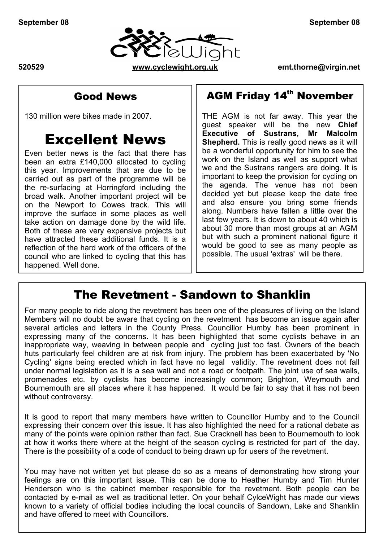



### Good News

130 million were bikes made in 2007.

# Excellent News

Even better news is the fact that there has been an extra £140,000 allocated to cycling this year. Improvements that are due to be carried out as part of the programme will be the re-surfacing at Horringford including the broad walk. Another important project will be on the Newport to Cowes track. This will improve the surface in some places as well take action on damage done by the wild life. Both of these are very expensive projects but have attracted these additional funds. It is a reflection of the hard work of the officers of the council who are linked to cycling that this has happened. Well done.

## AGM Friday 14<sup>th</sup> November

THE AGM is not far away. This year the guest speaker will be the new **Chief Executive of Sustrans, Mr Malcolm Shepherd.** This is really good news as it will be a wonderful opportunity for him to see the work on the Island as well as support what we and the Sustrans rangers are doing. It is important to keep the provision for cycling on the agenda. The venue has not been decided yet but please keep the date free and also ensure you bring some friends along. Numbers have fallen a little over the last few years. It is down to about 40 which is about 30 more than most groups at an AGM but with such a prominent national figure it would be good to see as many people as possible. The usual 'extras' will be there.

### The Revetment - Sandown to Shanklin

For many people to ride along the revetment has been one of the pleasures of living on the Island Members will no doubt be aware that cycling on the revetment has become an issue again after several articles and letters in the County Press. Councillor Humby has been prominent in expressing many of the concerns. It has been highlighted that some cyclists behave in an inappropriate way, weaving in between people and cycling just too fast. Owners of the beach huts particularly feel children are at risk from injury. The problem has been exacerbated by 'No Cycling' signs being erected which in fact have no legal validity. The revetment does not fall under normal legislation as it is a sea wall and not a road or footpath. The joint use of sea walls, promenades etc. by cyclists has become increasingly common; Brighton, Weymouth and Bournemouth are all places where it has happened. It would be fair to say that it has not been without controversy.

It is good to report that many members have written to Councillor Humby and to the Council expressing their concern over this issue. It has also highlighted the need for a rational debate as many of the points were opinion rather than fact. Sue Cracknell has been to Bournemouth to look at how it works there where at the height of the season cycling is restricted for part of the day. There is the possibility of a code of conduct to being drawn up for users of the revetment.

Newsletter\_08mon.odt 1of 4 You may have not written yet but please do so as a means of demonstrating how strong your feelings are on this important issue. This can be done to Heather Humby and Tim Hunter Henderson who is the cabinet member responsible for the revetment. Both people can be contacted by e-mail as well as traditional letter. On your behalf CylceWight has made our views known to a variety of official bodies including the local councils of Sandown, Lake and Shanklin and have offered to meet with Councillors.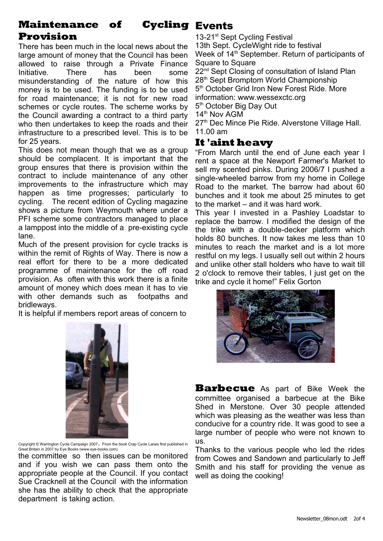#### **Maintenance** of **Provision Cycling Events**

There has been much in the local news about the large amount of money that the Council has been allowed to raise through a Private Finance Initiative. There has been some misunderstanding of the nature of how this money is to be used. The funding is to be used for road maintenance; it is not for new road schemes or cycle routes. The scheme works by the Council awarding a contract to a third party who then undertakes to keep the roads and their infrastructure to a prescribed level. This is to be for 25 years.

This does not mean though that we as a group should be complacent. It is important that the group ensures that there is provision within the contract to include maintenance of any other improvements to the infrastructure which may happen as time progresses; particularly to cycling. The recent edition of Cycling magazine shows a picture from Weymouth where under a PFI scheme some contractors managed to place a lamppost into the middle of a pre-existing cycle lane.

Much of the present provision for cycle tracks is within the remit of Rights of Way. There is now a real effort for there to be a more dedicated programme of maintenance for the off road provision. As often with this work there is a finite amount of money which does mean it has to vie with other demands such as footpaths and bridleways.

It is helpful if members report areas of concern to



Copyright © Warrington Cycle Campaign 2007. From the book Crap Cycle Lanes first published in Great Britain in 2007 by Eye Books (www.eye-books.com)

the committee so then issues can be monitored and if you wish we can pass them onto the appropriate people at the Council. If you contact Sue Cracknell at the Council with the information she has the ability to check that the appropriate department is taking action.

13-21<sup>st</sup> Sept Cycling Festival 13th Sept. CycleWight ride to festival Week of 14<sup>th</sup> September. Return of participants of Square to Square

22<sup>nd</sup> Sept Closing of consultation of Island Plan 28<sup>th</sup> Sept Bromptom World Championship 5<sup>th</sup> October Grid Iron New Forest Ride. More information: www.wessexctc.org 5<sup>th</sup> October Big Day Out

14<sup>th</sup> Nov AGM

27<sup>th</sup> Dec Mince Pie Ride. Alverstone Village Hall. 11.00 am

### **It 'aint heavy**

"From March until the end of June each year I rent a space at the Newport Farmer's Market to sell my scented pinks. During 2006/7 I pushed a single-wheeled barrow from my home in College Road to the market. The barrow had about 60 bunches and it took me about 25 minutes to get to the market – and it was hard work.

This year I invested in a Pashley Loadstar to replace the barrow. I modified the design of the the trike with a double-decker platform which holds 80 bunches. It now takes me less than 10 minutes to reach the market and is a lot more restful on my legs. I usually sell out within 2 hours and unlike other stall holders who have to wait till 2 o'clock to remove their tables, I just get on the trike and cycle it home!" Felix Gorton



**Barbecue** As part of Bike Week the committee organised a barbecue at the Bike Shed in Merstone. Over 30 people attended which was pleasing as the weather was less than conducive for a country ride. It was good to see a large number of people who were not known to us.

Thanks to the various people who led the rides from Cowes and Sandown and particularly to Jeff Smith and his staff for providing the venue as well as doing the cooking!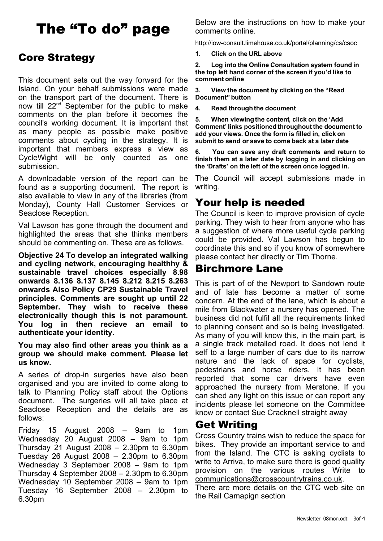# The "To do" page

### Core Strategy

This document sets out the way forward for the Island. On your behalf submissions were made on the transport part of the document. There is now till 22<sup>nd</sup> September for the public to make comments on the plan before it becomes the council's working document. It is important that as many people as possible make positive comments about cycling in the strategy. It is important that members express a view as CycleWight will be only counted as one submission.

A downloadable version of the report can be found as a supporting document. The report is also available to view in any of the libraries (from Monday), County Hall Customer Services or Seaclose Reception.

Val Lawson has gone through the document and highlighted the areas that she thinks members should be commenting on. These are as follows.

**Objective 24 To develop an integrated walking and cycling network, encouraging healthhy & sustainable travel choices especially 8.98 onwards 8.136 8.137 8.145 8.212 8.215 8.263 onwards Also Policy CP29 Sustainable Travel principles. Comments are sought up until 22 September. They wish to receive these electronically though this is not paramount. You log in then recieve an email to authenticate your identity.**

**You may also find other areas you think as a group we should make comment. Please let us know.**

A series of drop-in surgeries have also been organised and you are invited to come along to talk to Planning Policy staff about the Options document. The surgeries will all take place at Seaclose Reception and the details are as follows:

Friday 15 August 2008 – 9am to 1pm Wednesday 20 August 2008 – 9am to 1pm Thursday 21 August 2008 – 2.30pm to 6.30pm Tuesday 26 August 2008 – 2.30pm to 6.30pm Wednesday 3 September 2008 – 9am to 1pm Thursday 4 September 2008 – 2.30pm to 6.30pm Wednesday 10 September 2008 – 9am to 1pm Tuesday 16 September 2008 – 2.30pm to 6.30pm

Below are the instructions on how to make your comments online.

http://iow-consult.limehouse.co.uk/portal/planning/cs/csoc

**1. Click on the URL above**

**2. Log into the Online Consultation system found in the top left hand corner of the screen if you'd like to comment online**

**3. View the document by clicking on the "Read Document" button**

**4. Read through the document**

**5. When viewing the content, click on the 'Add Comment' links positioned throughout the document to add your views. Once the form is filled in, click on submit to send or save to come back at a later date**

**6. You can save any draft comments and return to finish them at a later date by logging in and clicking on the 'Drafts' on the left of the screen once logged in.**

The Council will accept submissions made in writing.

### Your help is needed

The Council is keen to improve provision of cycle parking. They wish to hear from anyone who has a suggestion of where more useful cycle parking could be provided. Val Lawson has begun to coordinate this and so if you know of somewhere please contact her directly or Tim Thorne.

### Birchmore Lane

This is part of of the Newport to Sandown route and of late has become a matter of some concern. At the end of the lane, which is about a mile from Blackwater a nursery has opened. The business did not fulfil all the requirements linked to planning consent and so is being investigated. As many of you will know this, in the main part, is a single track metalled road. It does not lend it self to a large number of cars due to its narrow nature and the lack of space for cyclists, pedestrians and horse riders. It has been reported that some car drivers have even approached the nursery from Merstone. If you can shed any light on this issue or can report any incidents please let someone on the Committee know or contact Sue Cracknell straight away

### Get Writing

Cross Country trains wish to reduce the space for bikes. They provide an important service to and from the Island. The CTC is asking cyclists to write to Arriva, to make sure there is good quality provision on the various routes Write to [communications@crosscountrytrains.co.uk.](mailto:communications@crosscountrytrains.co.uk)

There are more details on the CTC web site on the Rail Camapign section